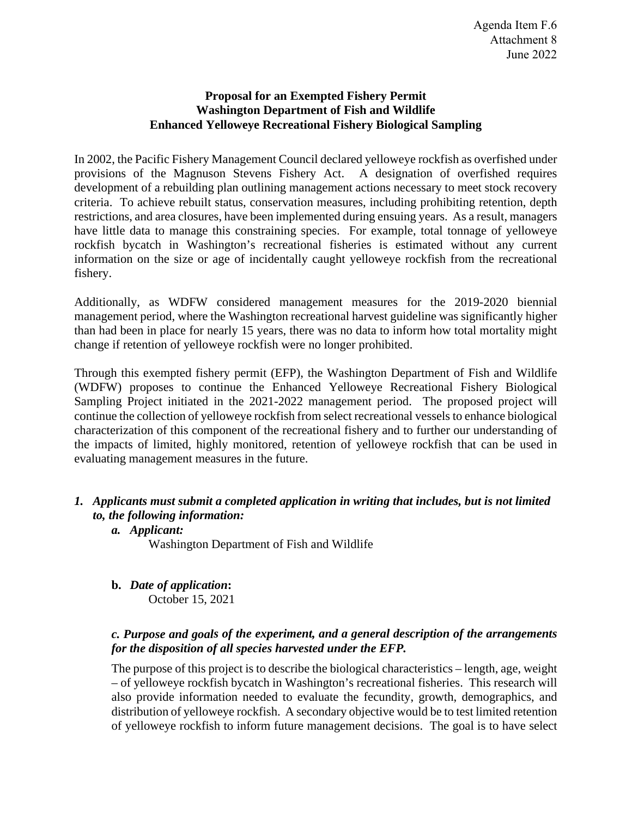#### **Proposal for an Exempted Fishery Permit Washington Department of Fish and Wildlife Enhanced Yelloweye Recreational Fishery Biological Sampling**

In 2002, the Pacific Fishery Management Council declared yelloweye rockfish as overfished under provisions of the Magnuson Stevens Fishery Act. A designation of overfished requires development of a rebuilding plan outlining management actions necessary to meet stock recovery criteria. To achieve rebuilt status, conservation measures, including prohibiting retention, depth restrictions, and area closures, have been implemented during ensuing years. As a result, managers have little data to manage this constraining species. For example, total tonnage of yelloweye rockfish bycatch in Washington's recreational fisheries is estimated without any current information on the size or age of incidentally caught yelloweye rockfish from the recreational fishery.

Additionally, as WDFW considered management measures for the 2019-2020 biennial management period, where the Washington recreational harvest guideline was significantly higher than had been in place for nearly 15 years, there was no data to inform how total mortality might change if retention of yelloweye rockfish were no longer prohibited.

Through this exempted fishery permit (EFP), the Washington Department of Fish and Wildlife (WDFW) proposes to continue the Enhanced Yelloweye Recreational Fishery Biological Sampling Project initiated in the 2021-2022 management period. The proposed project will continue the collection of yelloweye rockfish from select recreational vessels to enhance biological characterization of this component of the recreational fishery and to further our understanding of the impacts of limited, highly monitored, retention of yelloweye rockfish that can be used in evaluating management measures in the future.

# *1. Applicants must submit a completed application in writing that includes, but is not limited to, the following information:*

### *a. Applicant:*

Washington Department of Fish and Wildlife

**b.** *Date of application***:** October 15, 2021

# *c. Purpose and goals of the experiment, and a general description of the arrangements for the disposition of all species harvested under the EFP.*

The purpose of this project is to describe the biological characteristics – length, age, weight – of yelloweye rockfish bycatch in Washington's recreational fisheries. This research will also provide information needed to evaluate the fecundity, growth, demographics, and distribution of yelloweye rockfish. A secondary objective would be to test limited retention of yelloweye rockfish to inform future management decisions. The goal is to have select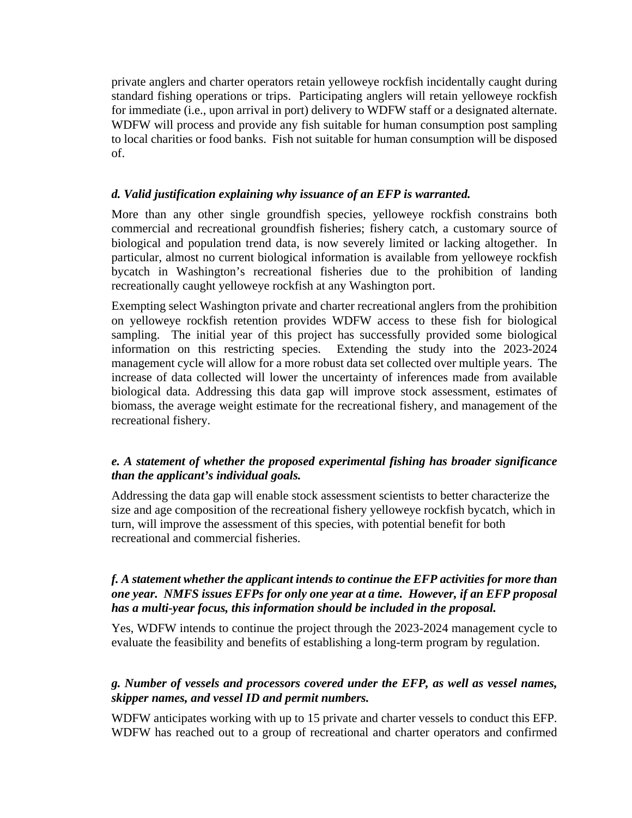private anglers and charter operators retain yelloweye rockfish incidentally caught during standard fishing operations or trips. Participating anglers will retain yelloweye rockfish for immediate (i.e., upon arrival in port) delivery to WDFW staff or a designated alternate. WDFW will process and provide any fish suitable for human consumption post sampling to local charities or food banks. Fish not suitable for human consumption will be disposed of.

### *d. Valid justification explaining why issuance of an EFP is warranted.*

More than any other single groundfish species, yelloweye rockfish constrains both commercial and recreational groundfish fisheries; fishery catch, a customary source of biological and population trend data, is now severely limited or lacking altogether. In particular, almost no current biological information is available from yelloweye rockfish bycatch in Washington's recreational fisheries due to the prohibition of landing recreationally caught yelloweye rockfish at any Washington port.

Exempting select Washington private and charter recreational anglers from the prohibition on yelloweye rockfish retention provides WDFW access to these fish for biological sampling. The initial year of this project has successfully provided some biological information on this restricting species. Extending the study into the 2023-2024 management cycle will allow for a more robust data set collected over multiple years. The increase of data collected will lower the uncertainty of inferences made from available biological data. Addressing this data gap will improve stock assessment, estimates of biomass, the average weight estimate for the recreational fishery, and management of the recreational fishery.

### *e. A statement of whether the proposed experimental fishing has broader significance than the applicant's individual goals.*

Addressing the data gap will enable stock assessment scientists to better characterize the size and age composition of the recreational fishery yelloweye rockfish bycatch, which in turn, will improve the assessment of this species, with potential benefit for both recreational and commercial fisheries.

# *f. A statement whether the applicant intends to continue the EFP activities for more than one year. NMFS issues EFPs for only one year at a time. However, if an EFP proposal has a multi-year focus, this information should be included in the proposal.*

Yes, WDFW intends to continue the project through the 2023-2024 management cycle to evaluate the feasibility and benefits of establishing a long-term program by regulation.

### *g. Number of vessels and processors covered under the EFP, as well as vessel names, skipper names, and vessel ID and permit numbers.*

WDFW anticipates working with up to 15 private and charter vessels to conduct this EFP. WDFW has reached out to a group of recreational and charter operators and confirmed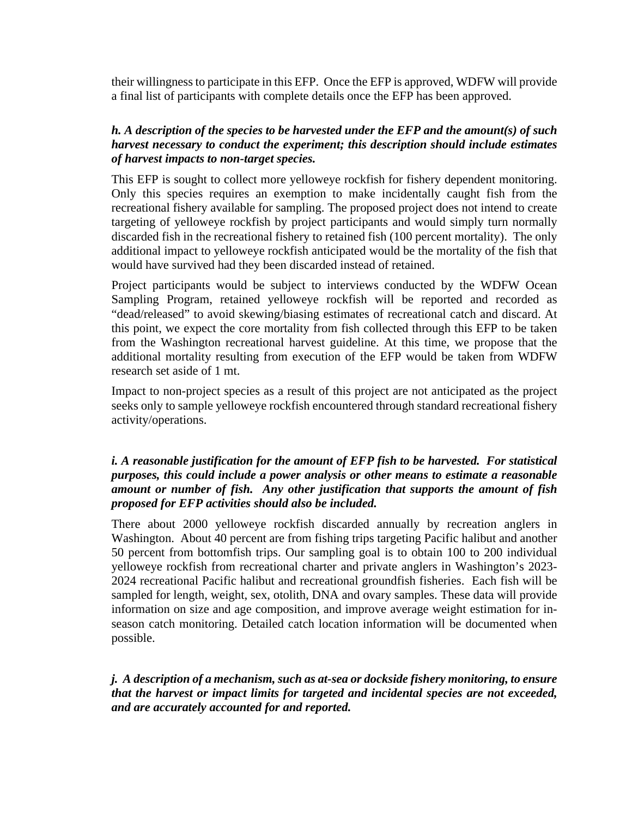their willingness to participate in this EFP. Once the EFP is approved, WDFW will provide a final list of participants with complete details once the EFP has been approved.

#### *h. A description of the species to be harvested under the EFP and the amount(s) of such harvest necessary to conduct the experiment; this description should include estimates of harvest impacts to non-target species.*

This EFP is sought to collect more yelloweye rockfish for fishery dependent monitoring. Only this species requires an exemption to make incidentally caught fish from the recreational fishery available for sampling. The proposed project does not intend to create targeting of yelloweye rockfish by project participants and would simply turn normally discarded fish in the recreational fishery to retained fish (100 percent mortality). The only additional impact to yelloweye rockfish anticipated would be the mortality of the fish that would have survived had they been discarded instead of retained.

Project participants would be subject to interviews conducted by the WDFW Ocean Sampling Program, retained yelloweye rockfish will be reported and recorded as "dead/released" to avoid skewing/biasing estimates of recreational catch and discard. At this point, we expect the core mortality from fish collected through this EFP to be taken from the Washington recreational harvest guideline. At this time, we propose that the additional mortality resulting from execution of the EFP would be taken from WDFW research set aside of 1 mt.

Impact to non-project species as a result of this project are not anticipated as the project seeks only to sample yelloweye rockfish encountered through standard recreational fishery activity/operations.

#### *i. A reasonable justification for the amount of EFP fish to be harvested. For statistical purposes, this could include a power analysis or other means to estimate a reasonable amount or number of fish. Any other justification that supports the amount of fish proposed for EFP activities should also be included.*

There about 2000 yelloweye rockfish discarded annually by recreation anglers in Washington. About 40 percent are from fishing trips targeting Pacific halibut and another 50 percent from bottomfish trips. Our sampling goal is to obtain 100 to 200 individual yelloweye rockfish from recreational charter and private anglers in Washington's 2023- 2024 recreational Pacific halibut and recreational groundfish fisheries. Each fish will be sampled for length, weight, sex, otolith, DNA and ovary samples. These data will provide information on size and age composition, and improve average weight estimation for inseason catch monitoring. Detailed catch location information will be documented when possible.

*j. A description of a mechanism, such as at-sea or dockside fishery monitoring, to ensure that the harvest or impact limits for targeted and incidental species are not exceeded, and are accurately accounted for and reported.*